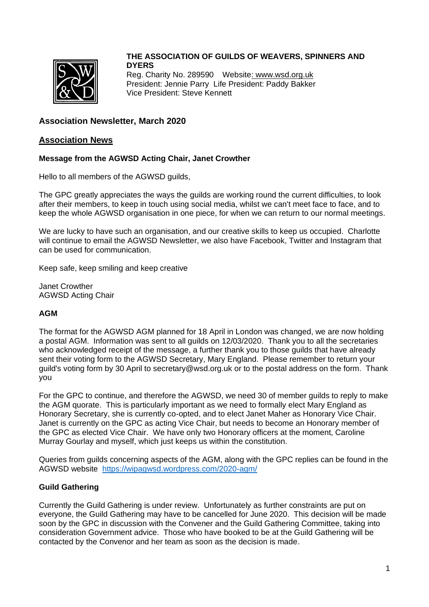

### **THE ASSOCIATION OF GUILDS OF WEAVERS, SPINNERS AND DYERS** Reg. Charity No. 289590 Websit[e: www.wsd.org.uk](http://www.wsd.org.uk/) President: Jennie Parry Life President: Paddy Bakker Vice President: Steve Kennett

## **Association Newsletter, March 2020**

### **Association News**

### **Message from the AGWSD Acting Chair, Janet Crowther**

Hello to all members of the AGWSD guilds,

The GPC greatly appreciates the ways the guilds are working round the current difficulties, to look after their members, to keep in touch using social media, whilst we can't meet face to face, and to keep the whole AGWSD organisation in one piece, for when we can return to our normal meetings.

We are lucky to have such an organisation, and our creative skills to keep us occupied. Charlotte will continue to email the AGWSD Newsletter, we also have Facebook, Twitter and Instagram that can be used for communication.

Keep safe, keep smiling and keep creative

Janet Crowther AGWSD Acting Chair

### **AGM**

The format for the AGWSD AGM planned for 18 April in London was changed, we are now holding a postal AGM. Information was sent to all guilds on 12/03/2020. Thank you to all the secretaries who acknowledged receipt of the message, a further thank you to those guilds that have already sent their voting form to the AGWSD Secretary, Mary England. Please remember to return your guild's voting form by 30 April to secretary@wsd.org.uk or to the postal address on the form. Thank you

For the GPC to continue, and therefore the AGWSD, we need 30 of member guilds to reply to make the AGM quorate. This is particularly important as we need to formally elect Mary England as Honorary Secretary, she is currently co-opted, and to elect Janet Maher as Honorary Vice Chair. Janet is currently on the GPC as acting Vice Chair, but needs to become an Honorary member of the GPC as elected Vice Chair. We have only two Honorary officers at the moment, Caroline Murray Gourlay and myself, which just keeps us within the constitution.

Queries from guilds concerning aspects of the AGM, along with the GPC replies can be found in the AGWSD website <https://wipagwsd.wordpress.com/2020-agm/>

### **Guild Gathering**

Currently the Guild Gathering is under review. Unfortunately as further constraints are put on everyone, the Guild Gathering may have to be cancelled for June 2020. This decision will be made soon by the GPC in discussion with the Convener and the Guild Gathering Committee, taking into consideration Government advice. Those who have booked to be at the Guild Gathering will be contacted by the Convenor and her team as soon as the decision is made.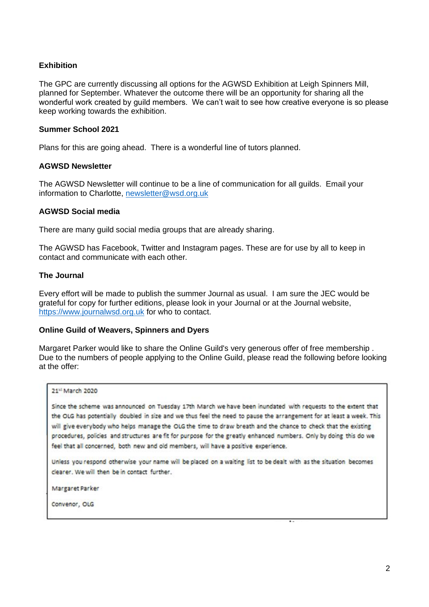### **Exhibition**

The GPC are currently discussing all options for the AGWSD Exhibition at Leigh Spinners Mill, planned for September. Whatever the outcome there will be an opportunity for sharing all the wonderful work created by guild members. We can't wait to see how creative everyone is so please keep working towards the exhibition.

### **Summer School 2021**

Plans for this are going ahead. There is a wonderful line of tutors planned.

### **AGWSD Newsletter**

The AGWSD Newsletter will continue to be a line of communication for all guilds. Email your information to Charlotte, [newsletter@wsd.org.uk](mailto:newsletter@wsd.org.uk)

### **AGWSD Social media**

There are many guild social media groups that are already sharing.

The AGWSD has Facebook, Twitter and Instagram pages. These are for use by all to keep in contact and communicate with each other.

### **The Journal**

Every effort will be made to publish the summer Journal as usual. I am sure the JEC would be grateful for copy for further editions, please look in your Journal or at the Journal website, [https://www.journalwsd.org.uk](https://www.journalwsd.org.uk/) for who to contact.

### **Online Guild of Weavers, Spinners and Dyers**

Margaret Parker would like to share the Online Guild's very generous offer of free membership . Due to the numbers of people applying to the Online Guild, please read the following before looking at the offer:

### 21st March 2020

Since the scheme was announced on Tuesday 17th March we have been inundated with requests to the extent that the OLG has potentially doubled in size and we thus feel the need to pause the arrangement for at least a week. This will give everybody who helps manage the OLG the time to draw breath and the chance to check that the existing procedures, policies and structures are fit for purpose for the greatly enhanced numbers. Only by doing this do we feel that all concerned, both new and old members, will have a positive experience.

Unless you respond otherwise your name will be placed on a waiting list to be dealt with as the situation becomes clearer. We will then be in contact further.

Margaret Parker

Convenor, OLG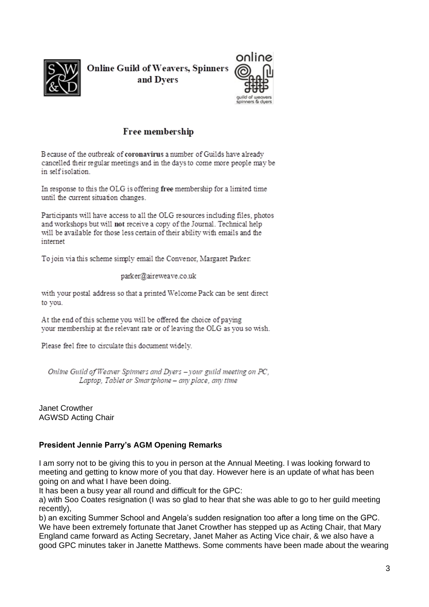

**Online Guild of Weavers, Spinners** and Dvers



# Free membership

Because of the outbreak of coronavirus a number of Guilds have already cancelled their regular meetings and in the days to come more people may be in self isolation.

In response to this the OLG is offering free membership for a limited time until the current situation changes.

Participants will have access to all the OLG resources including files, photos and workshops but will not receive a copy of the Journal. Technical help will be available for those less certain of their ability with emails and the internet

To join via this scheme simply email the Convenor, Margaret Parker.

parker@aireweave.co.uk

with your postal address so that a printed Welcome Pack can be sent direct to you.

At the end of this scheme you will be offered the choice of paying your membership at the relevant rate or of leaving the OLG as you so wish.

Please feel free to circulate this document widely.

Online Guild of Weaver Spinners and Dyers - your guild meeting on PC, Laptop, Tablet or Smartphone - any place, any time

Janet Crowther AGWSD Acting Chair

## **President Jennie Parry's AGM Opening Remarks**

I am sorry not to be giving this to you in person at the Annual Meeting. I was looking forward to meeting and getting to know more of you that day. However here is an update of what has been going on and what I have been doing.

It has been a busy year all round and difficult for the GPC:

a) with Soo Coates resignation (I was so glad to hear that she was able to go to her guild meeting recently),

b) an exciting Summer School and Angela's sudden resignation too after a long time on the GPC. We have been extremely fortunate that Janet Crowther has stepped up as Acting Chair, that Mary England came forward as Acting Secretary, Janet Maher as Acting Vice chair, & we also have a good GPC minutes taker in Janette Matthews. Some comments have been made about the wearing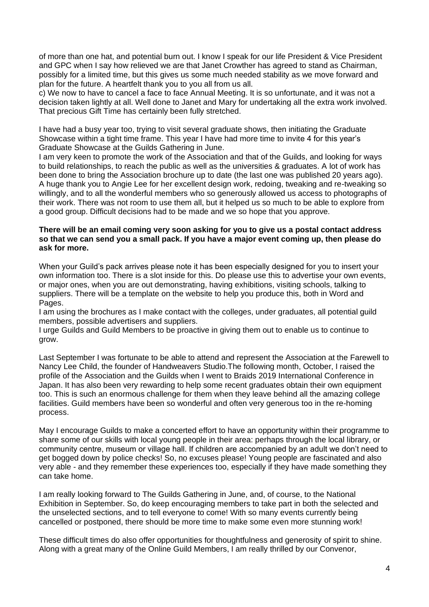of more than one hat, and potential burn out. I know I speak for our life President & Vice President and GPC when I say how relieved we are that Janet Crowther has agreed to stand as Chairman, possibly for a limited time, but this gives us some much needed stability as we move forward and plan for the future. A heartfelt thank you to you all from us all.

c) We now to have to cancel a face to face Annual Meeting. It is so unfortunate, and it was not a decision taken lightly at all. Well done to Janet and Mary for undertaking all the extra work involved. That precious Gift Time has certainly been fully stretched.

I have had a busy year too, trying to visit several graduate shows, then initiating the Graduate Showcase within a tight time frame. This year I have had more time to invite 4 for this year's Graduate Showcase at the Guilds Gathering in June.

I am very keen to promote the work of the Association and that of the Guilds, and looking for ways to build relationships, to reach the public as well as the universities & graduates. A lot of work has been done to bring the Association brochure up to date (the last one was published 20 years ago). A huge thank you to Angie Lee for her excellent design work, redoing, tweaking and re-tweaking so willingly, and to all the wonderful members who so generously allowed us access to photographs of their work. There was not room to use them all, but it helped us so much to be able to explore from a good group. Difficult decisions had to be made and we so hope that you approve.

### **There will be an email coming very soon asking for you to give us a postal contact address so that we can send you a small pack. If you have a major event coming up, then please do ask for more.**

When your Guild's pack arrives please note it has been especially designed for you to insert your own information too. There is a slot inside for this. Do please use this to advertise your own events, or major ones, when you are out demonstrating, having exhibitions, visiting schools, talking to suppliers. There will be a template on the website to help you produce this, both in Word and Pages.

I am using the brochures as I make contact with the colleges, under graduates, all potential guild members, possible advertisers and suppliers.

I urge Guilds and Guild Members to be proactive in giving them out to enable us to continue to grow.

Last September I was fortunate to be able to attend and represent the Association at the Farewell to Nancy Lee Child, the founder of Handweavers Studio.The following month, October, I raised the profile of the Association and the Guilds when I went to Braids 2019 International Conference in Japan. It has also been very rewarding to help some recent graduates obtain their own equipment too. This is such an enormous challenge for them when they leave behind all the amazing college facilities. Guild members have been so wonderful and often very generous too in the re-homing process.

May I encourage Guilds to make a concerted effort to have an opportunity within their programme to share some of our skills with local young people in their area: perhaps through the local library, or community centre, museum or village hall. If children are accompanied by an adult we don't need to get bogged down by police checks! So, no excuses please! Young people are fascinated and also very able - and they remember these experiences too, especially if they have made something they can take home.

I am really looking forward to The Guilds Gathering in June, and, of course, to the National Exhibition in September. So, do keep encouraging members to take part in both the selected and the unselected sections, and to tell everyone to come! With so many events currently being cancelled or postponed, there should be more time to make some even more stunning work!

These difficult times do also offer opportunities for thoughtfulness and generosity of spirit to shine. Along with a great many of the Online Guild Members, I am really thrilled by our Convenor,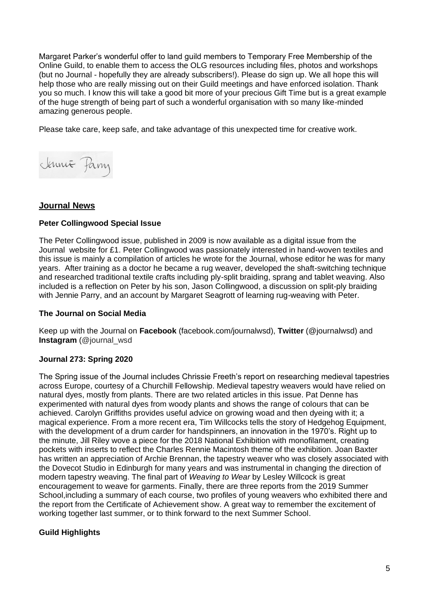Margaret Parker's wonderful offer to land guild members to Temporary Free Membership of the Online Guild, to enable them to access the OLG resources including files, photos and workshops (but no Journal - hopefully they are already subscribers!). Please do sign up. We all hope this will help those who are really missing out on their Guild meetings and have enforced isolation. Thank you so much. I know this will take a good bit more of your precious Gift Time but is a great example of the huge strength of being part of such a wonderful organisation with so many like-minded amazing generous people.

Please take care, keep safe, and take advantage of this unexpected time for creative work.



## **Journal News**

### **Peter Collingwood Special Issue**

The Peter Collingwood issue, published in 2009 is now available as a digital issue from the Journal website for £1. Peter Collingwood was passionately interested in hand-woven textiles and this issue is mainly a compilation of articles he wrote for the Journal, whose editor he was for many years. After training as a doctor he became a rug weaver, developed the shaft-switching technique and researched traditional textile crafts including ply-split braiding, sprang and tablet weaving. Also included is a reflection on Peter by his son, Jason Collingwood, a discussion on split-ply braiding with Jennie Parry, and an account by Margaret Seagrott of learning rug-weaving with Peter.

### **The Journal on Social Media**

Keep up with the Journal on **Facebook** (facebook.com/journalwsd), **Twitter** (@journalwsd) and **Instagram** (@journal\_wsd

### **Journal 273: Spring 2020**

The Spring issue of the Journal includes Chrissie Freeth's report on researching medieval tapestries across Europe, courtesy of a Churchill Fellowship. Medieval tapestry weavers would have relied on natural dyes, mostly from plants. There are two related articles in this issue. Pat Denne has experimented with natural dyes from woody plants and shows the range of colours that can be achieved. Carolyn Griffiths provides useful advice on growing woad and then dyeing with it; a magical experience. From a more recent era, Tim Willcocks tells the story of Hedgehog Equipment, with the development of a drum carder for handspinners, an innovation in the 1970's. Right up to the minute, Jill Riley wove a piece for the 2018 National Exhibition with monofilament, creating pockets with inserts to reflect the Charles Rennie Macintosh theme of the exhibition. Joan Baxter has written an appreciation of Archie Brennan, the tapestry weaver who was closely associated with the Dovecot Studio in Edinburgh for many years and was instrumental in changing the direction of modern tapestry weaving. The final part of *Weaving to Wear* by Lesley Willcock is great encouragement to weave for garments. Finally, there are three reports from the 2019 Summer School,including a summary of each course, two profiles of young weavers who exhibited there and the report from the Certificate of Achievement show. A great way to remember the excitement of working together last summer, or to think forward to the next Summer School.

### **Guild Highlights**